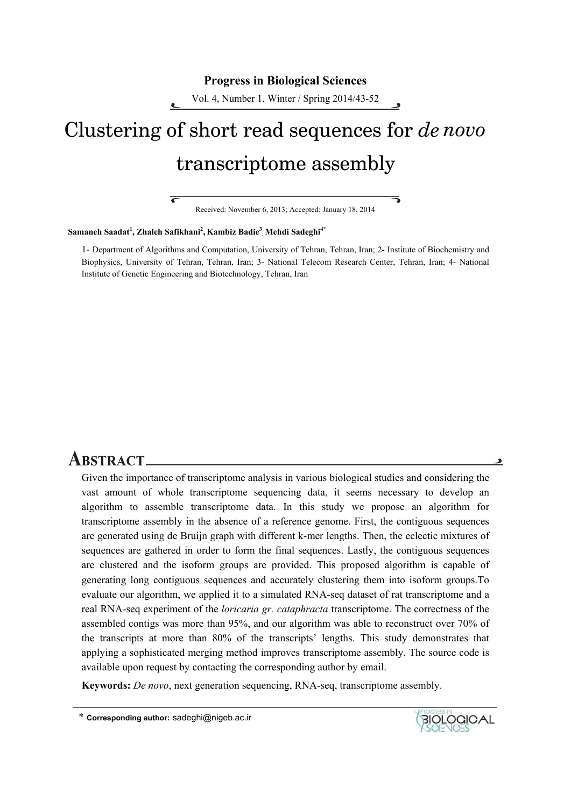#### **Progress in Biological Sciences**

Vol. 4, Number 1, Winter / Spring 2014/43-52

# Clustering of short read sequences for *de novo* transcriptome assembly

Received: November 6, 2013; Accepted: January 18, 2014

#### **Samaneh Saadat<sup>1</sup> , Zhaleh Safikhani2 , Kambiz Badie<sup>3</sup> , Mehdi Sadeghi4\***

7

1- Department of Algorithms and Computation, University of Tehran, Tehran, Iran; 2- Institute of Biochemistry and Biophysics, University of Tehran, Tehran, Iran; 3- National Telecom Research Center, Tehran, Iran; 4- National Institute of Genetic Engineering and Biotechnology, Tehran, Iran

# **ABSTRACT\_**

Given the importance of transcriptome analysis in various biological studies and considering the vast amount of whole transcriptome sequencing data, it seems necessary to develop an algorithm to assemble transcriptome data. In this study we propose an algorithm for transcriptome assembly in the absence of a reference genome. First, the contiguous sequences are generated using de Bruijn graph with different k-mer lengths. Then, the eclectic mixtures of sequences are gathered in order to form the final sequences. Lastly, the contiguous sequences are clustered and the isoform groups are provided. This proposed algorithm is capable of generating long contiguous sequences and accurately clustering them into isoform groups.To evaluate our algorithm, we applied it to a simulated RNA-seq dataset of rat transcriptome and a real RNA-seq experiment of the *loricaria gr. cataphracta* transcriptome. The correctness of the assembled contigs was more than 95%, and our algorithm was able to reconstruct over 70% of the transcripts at more than 80% of the transcripts' lengths. This study demonstrates that applying a sophisticated merging method improves transcriptome assembly. The source code is available upon request by contacting the corresponding author by email.

**Keywords:** *De novo*, next generation sequencing, RNA-seq, transcriptome assembly.



 $\bullet$ 

<sup>\*</sup> **Corresponding author:** sadeghi@nigeb.ac.ir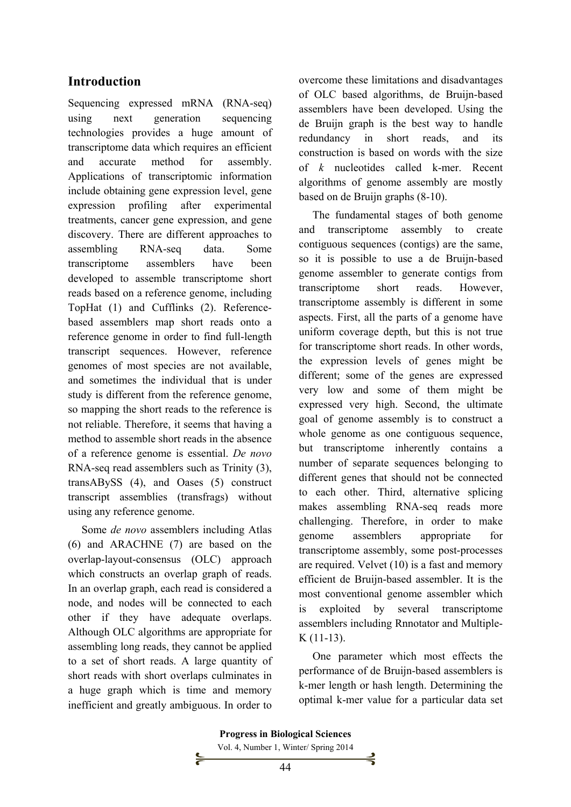# **Introduction**

Sequencing expressed mRNA (RNA-seq) using next generation sequencing technologies provides a huge amount of transcriptome data which requires an efficient and accurate method for assembly. Applications of transcriptomic information include obtaining gene expression level, gene expression profiling after experimental treatments, cancer gene expression, and gene discovery. There are different approaches to assembling RNA-seq data. Some transcriptome assemblers have been developed to assemble transcriptome short reads based on a reference genome, including TopHat (1) and Cufflinks (2). Referencebased assemblers map short reads onto a reference genome in order to find full-length transcript sequences. However, reference genomes of most species are not available, and sometimes the individual that is under study is different from the reference genome, so mapping the short reads to the reference is not reliable. Therefore, it seems that having a method to assemble short reads in the absence of a reference genome is essential. *De novo*  RNA-seq read assemblers such as Trinity (3), transABySS (4), and Oases (5) construct transcript assemblies (transfrags) without using any reference genome.

Some *de novo* assemblers including Atlas (6) and ARACHNE (7) are based on the overlap-layout-consensus (OLC) approach which constructs an overlap graph of reads. In an overlap graph, each read is considered a node, and nodes will be connected to each other if they have adequate overlaps. Although OLC algorithms are appropriate for assembling long reads, they cannot be applied to a set of short reads. A large quantity of short reads with short overlaps culminates in a huge graph which is time and memory inefficient and greatly ambiguous. In order to overcome these limitations and disadvantages of OLC based algorithms, de Bruijn-based assemblers have been developed. Using the de Bruijn graph is the best way to handle redundancy in short reads, and its construction is based on words with the size of *k* nucleotides called k-mer. Recent algorithms of genome assembly are mostly based on de Bruijn graphs (8-10).

The fundamental stages of both genome and transcriptome assembly to create contiguous sequences (contigs) are the same, so it is possible to use a de Bruijn-based genome assembler to generate contigs from transcriptome short reads. However, transcriptome assembly is different in some aspects. First, all the parts of a genome have uniform coverage depth, but this is not true for transcriptome short reads. In other words, the expression levels of genes might be different; some of the genes are expressed very low and some of them might be expressed very high. Second, the ultimate goal of genome assembly is to construct a whole genome as one contiguous sequence, but transcriptome inherently contains a number of separate sequences belonging to different genes that should not be connected to each other. Third, alternative splicing makes assembling RNA-seq reads more challenging. Therefore, in order to make genome assemblers appropriate for transcriptome assembly, some post-processes are required. Velvet (10) is a fast and memory efficient de Bruijn-based assembler. It is the most conventional genome assembler which is exploited by several transcriptome assemblers including Rnnotator and Multiple-K (11-13).

One parameter which most effects the performance of de Bruijn-based assemblers is k-mer length or hash length. Determining the optimal k-mer value for a particular data set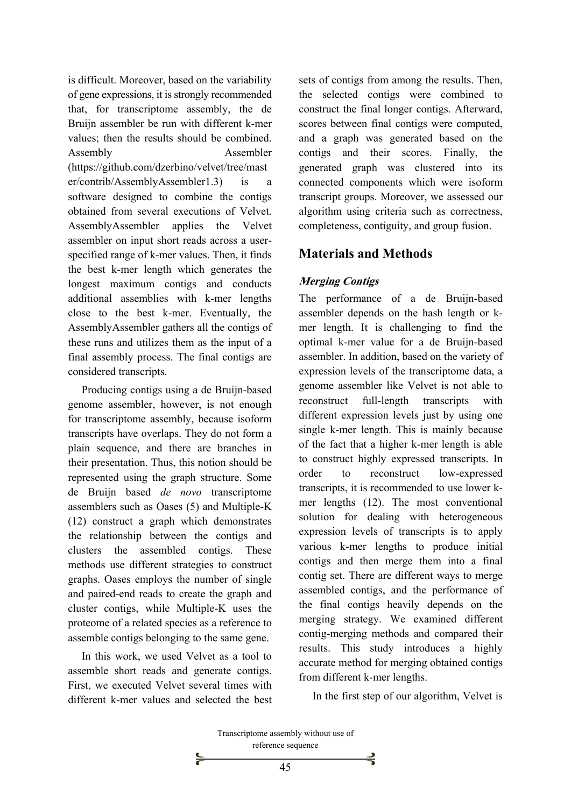is difficult. Moreover, based on the variability of gene expressions, it is strongly recommended that, for transcriptome assembly, the de Bruijn assembler be run with different k-mer values; then the results should be combined. Assembly Assembler (https://github.com/dzerbino/velvet/tree/mast er/contrib/AssemblyAssembler1.3) is a software designed to combine the contigs obtained from several executions of Velvet. AssemblyAssembler applies the Velvet assembler on input short reads across a userspecified range of k-mer values. Then, it finds the best k-mer length which generates the longest maximum contigs and conducts additional assemblies with k-mer lengths close to the best k-mer. Eventually, the AssemblyAssembler gathers all the contigs of these runs and utilizes them as the input of a final assembly process. The final contigs are considered transcripts.

Producing contigs using a de Bruijn-based genome assembler, however, is not enough for transcriptome assembly, because isoform transcripts have overlaps. They do not form a plain sequence, and there are branches in their presentation. Thus, this notion should be represented using the graph structure. Some de Bruijn based *de novo* transcriptome assemblers such as Oases (5) and Multiple-K (12) construct a graph which demonstrates the relationship between the contigs and clusters the assembled contigs. These methods use different strategies to construct graphs. Oases employs the number of single and paired-end reads to create the graph and cluster contigs, while Multiple-K uses the proteome of a related species as a reference to assemble contigs belonging to the same gene.

In this work, we used Velvet as a tool to assemble short reads and generate contigs. First, we executed Velvet several times with different k-mer values and selected the best sets of contigs from among the results. Then, the selected contigs were combined to construct the final longer contigs. Afterward, scores between final contigs were computed, and a graph was generated based on the contigs and their scores. Finally, the generated graph was clustered into its connected components which were isoform transcript groups. Moreover, we assessed our algorithm using criteria such as correctness, completeness, contiguity, and group fusion.

# **Materials and Methods**

## **Merging Contigs**

The performance of a de Bruijn-based assembler depends on the hash length or kmer length. It is challenging to find the optimal k-mer value for a de Bruijn-based assembler. In addition, based on the variety of expression levels of the transcriptome data, a genome assembler like Velvet is not able to reconstruct full-length transcripts with different expression levels just by using one single k-mer length. This is mainly because of the fact that a higher k-mer length is able to construct highly expressed transcripts. In order to reconstruct low-expressed transcripts, it is recommended to use lower kmer lengths (12). The most conventional solution for dealing with heterogeneous expression levels of transcripts is to apply various k-mer lengths to produce initial contigs and then merge them into a final contig set. There are different ways to merge assembled contigs, and the performance of the final contigs heavily depends on the merging strategy. We examined different contig-merging methods and compared their results. This study introduces a highly accurate method for merging obtained contigs from different k-mer lengths.

In the first step of our algorithm, Velvet is

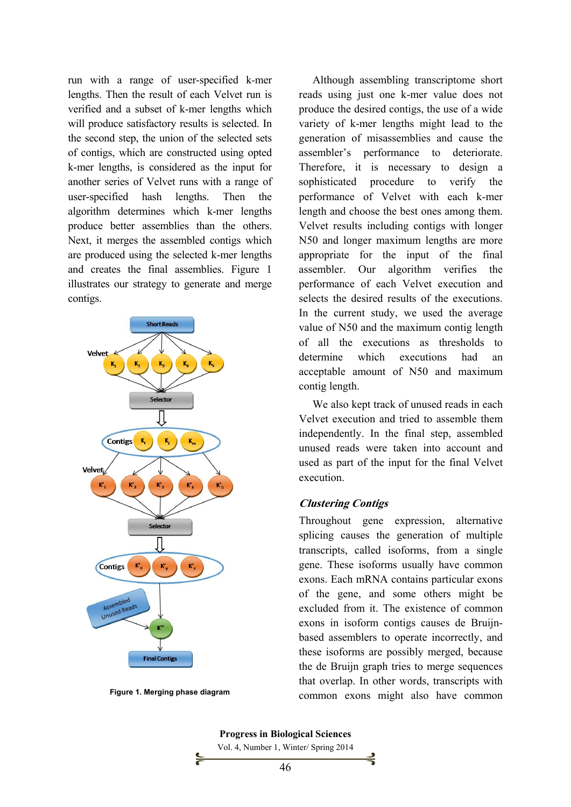run with a range of user-specified k*-*mer lengths. Then the result of each Velvet run is verified and a subset of k-mer lengths which will produce satisfactory results is selected. In the second step, the union of the selected sets of contigs, which are constructed using opted k-mer lengths, is considered as the input for another series of Velvet runs with a range of user-specified hash lengths. Then the algorithm determines which k-mer lengths produce better assemblies than the others. Next, it merges the assembled contigs which are produced using the selected k-mer lengths and creates the final assemblies. Figure 1 illustrates our strategy to generate and merge contigs.



**Figure 1. Merging phase diagram** 

Although assembling transcriptome short reads using just one k-mer value does not produce the desired contigs, the use of a wide variety of k-mer lengths might lead to the generation of misassemblies and cause the assembler's performance to deteriorate. Therefore, it is necessary to design a sophisticated procedure to verify the performance of Velvet with each k-mer length and choose the best ones among them. Velvet results including contigs with longer N50 and longer maximum lengths are more appropriate for the input of the final assembler. Our algorithm verifies the performance of each Velvet execution and selects the desired results of the executions. In the current study, we used the average value of N50 and the maximum contig length of all the executions as thresholds to determine which executions had an acceptable amount of N50 and maximum contig length.

We also kept track of unused reads in each Velvet execution and tried to assemble them independently. In the final step, assembled unused reads were taken into account and used as part of the input for the final Velvet execution.

#### **Clustering Contigs**

Throughout gene expression, alternative splicing causes the generation of multiple transcripts, called isoforms, from a single gene. These isoforms usually have common exons. Each mRNA contains particular exons of the gene, and some others might be excluded from it. The existence of common exons in isoform contigs causes de Bruijnbased assemblers to operate incorrectly, and these isoforms are possibly merged, because the de Bruijn graph tries to merge sequences that overlap. In other words, transcripts with common exons might also have common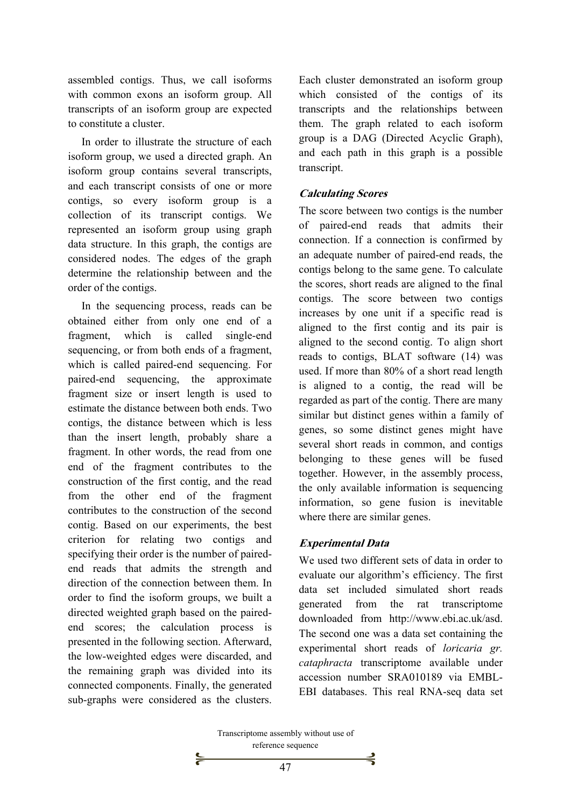assembled contigs. Thus, we call isoforms with common exons an isoform group. All transcripts of an isoform group are expected to constitute a cluster.

In order to illustrate the structure of each isoform group, we used a directed graph. An isoform group contains several transcripts, and each transcript consists of one or more contigs, so every isoform group is a collection of its transcript contigs. We represented an isoform group using graph data structure. In this graph, the contigs are considered nodes. The edges of the graph determine the relationship between and the order of the contigs.

In the sequencing process, reads can be obtained either from only one end of a fragment, which is called single-end sequencing, or from both ends of a fragment, which is called paired-end sequencing. For paired-end sequencing, the approximate fragment size or insert length is used to estimate the distance between both ends. Two contigs, the distance between which is less than the insert length, probably share a fragment. In other words, the read from one end of the fragment contributes to the construction of the first contig, and the read from the other end of the fragment contributes to the construction of the second contig. Based on our experiments, the best criterion for relating two contigs and specifying their order is the number of pairedend reads that admits the strength and direction of the connection between them. In order to find the isoform groups, we built a directed weighted graph based on the pairedend scores; the calculation process is presented in the following section. Afterward, the low-weighted edges were discarded, and the remaining graph was divided into its connected components. Finally, the generated sub-graphs were considered as the clusters. Each cluster demonstrated an isoform group which consisted of the contigs of its transcripts and the relationships between them. The graph related to each isoform group is a DAG (Directed Acyclic Graph), and each path in this graph is a possible transcript.

#### **Calculating Scores**

The score between two contigs is the number of paired-end reads that admits their connection. If a connection is confirmed by an adequate number of paired-end reads, the contigs belong to the same gene. To calculate the scores, short reads are aligned to the final contigs. The score between two contigs increases by one unit if a specific read is aligned to the first contig and its pair is aligned to the second contig. To align short reads to contigs, BLAT software (14) was used. If more than 80% of a short read length is aligned to a contig, the read will be regarded as part of the contig. There are many similar but distinct genes within a family of genes, so some distinct genes might have several short reads in common, and contigs belonging to these genes will be fused together. However, in the assembly process, the only available information is sequencing information, so gene fusion is inevitable where there are similar genes.

#### **Experimental Data**

We used two different sets of data in order to evaluate our algorithm's efficiency. The first data set included simulated short reads generated from the rat transcriptome downloaded from http://www.ebi.ac.uk/asd. The second one was a data set containing the experimental short reads of *loricaria gr. cataphracta* transcriptome available under accession number SRA010189 via EMBL-EBI databases. This real RNA-seq data set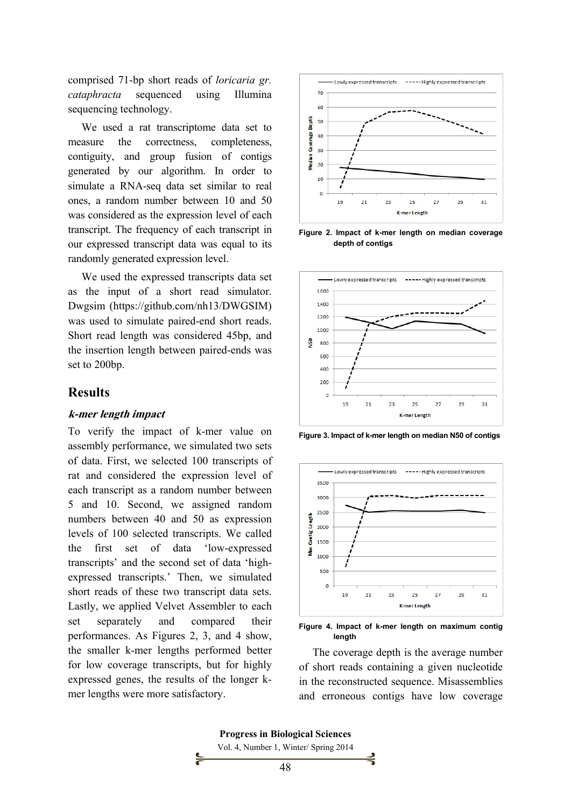comprised 71-bp short reads of *loricaria gr. cataphracta* sequenced using Illumina sequencing technology.

We used a rat transcriptome data set to measure the correctness, completeness, contiguity, and group fusion of contigs generated by our algorithm. In order to simulate a RNA-seq data set similar to real ones, a random number between 10 and 50 was considered as the expression level of each transcript. The frequency of each transcript in our expressed transcript data was equal to its randomly generated expression level.

We used the expressed transcripts data set as the input of a short read simulator. Dwgsim (https://github.com/nh13/DWGSIM) was used to simulate paired-end short reads. Short read length was considered 45bp, and the insertion length between paired-ends was set to 200bp.

#### **Results**

#### **k-mer length impact**

To verify the impact of k-mer value on assembly performance, we simulated two sets of data. First, we selected 100 transcripts of rat and considered the expression level of each transcript as a random number between 5 and 10. Second, we assigned random numbers between 40 and 50 as expression levels of 100 selected transcripts. We called the first set of data 'low-expressed transcripts' and the second set of data 'highexpressed transcripts.' Then, we simulated short reads of these two transcript data sets. Lastly, we applied Velvet Assembler to each set separately and compared their performances. As Figures 2, 3, and 4 show, the smaller k-mer lengths performed better for low coverage transcripts, but for highly expressed genes, the results of the longer kmer lengths were more satisfactory.



**Figure 2. Impact of k-mer length on median coverage depth of contigs** 



**Figure 3. Impact of k-mer length on median N50 of contigs** 



**Figure 4. Impact of k-mer length on maximum contig length** 

The coverage depth is the average number of short reads containing a given nucleotide in the reconstructed sequence. Misassemblies and erroneous contigs have low coverage

Vol. 4, Number 1, Winter/ Spring 2014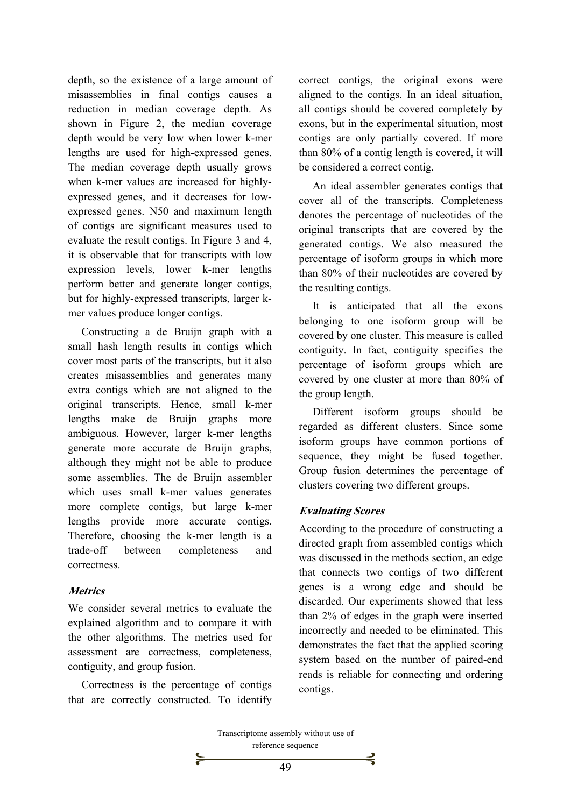depth, so the existence of a large amount of misassemblies in final contigs causes a reduction in median coverage depth. As shown in Figure 2, the median coverage depth would be very low when lower k-mer lengths are used for high-expressed genes. The median coverage depth usually grows when k-mer values are increased for highlyexpressed genes, and it decreases for lowexpressed genes. N50 and maximum length of contigs are significant measures used to evaluate the result contigs. In Figure 3 and 4, it is observable that for transcripts with low expression levels, lower k-mer lengths perform better and generate longer contigs, but for highly-expressed transcripts, larger kmer values produce longer contigs.

Constructing a de Bruijn graph with a small hash length results in contigs which cover most parts of the transcripts, but it also creates misassemblies and generates many extra contigs which are not aligned to the original transcripts. Hence, small k*-*mer lengths make de Bruijn graphs more ambiguous. However, larger k-mer lengths generate more accurate de Bruijn graphs, although they might not be able to produce some assemblies. The de Bruijn assembler which uses small k-mer values generates more complete contigs, but large k-mer lengths provide more accurate contigs. Therefore, choosing the k-mer length is a trade-off between completeness and correctness.

#### **Metrics**

We consider several metrics to evaluate the explained algorithm and to compare it with the other algorithms. The metrics used for assessment are correctness, completeness, contiguity, and group fusion.

Correctness is the percentage of contigs that are correctly constructed. To identify correct contigs, the original exons were aligned to the contigs. In an ideal situation, all contigs should be covered completely by exons, but in the experimental situation, most contigs are only partially covered. If more than 80% of a contig length is covered, it will be considered a correct contig.

An ideal assembler generates contigs that cover all of the transcripts. Completeness denotes the percentage of nucleotides of the original transcripts that are covered by the generated contigs. We also measured the percentage of isoform groups in which more than 80% of their nucleotides are covered by the resulting contigs.

It is anticipated that all the exons belonging to one isoform group will be covered by one cluster. This measure is called contiguity. In fact, contiguity specifies the percentage of isoform groups which are covered by one cluster at more than 80% of the group length.

Different isoform groups should be regarded as different clusters. Since some isoform groups have common portions of sequence, they might be fused together. Group fusion determines the percentage of clusters covering two different groups.

## **Evaluating Scores**

According to the procedure of constructing a directed graph from assembled contigs which was discussed in the methods section, an edge that connects two contigs of two different genes is a wrong edge and should be discarded. Our experiments showed that less than 2% of edges in the graph were inserted incorrectly and needed to be eliminated. This demonstrates the fact that the applied scoring system based on the number of paired-end reads is reliable for connecting and ordering contigs.

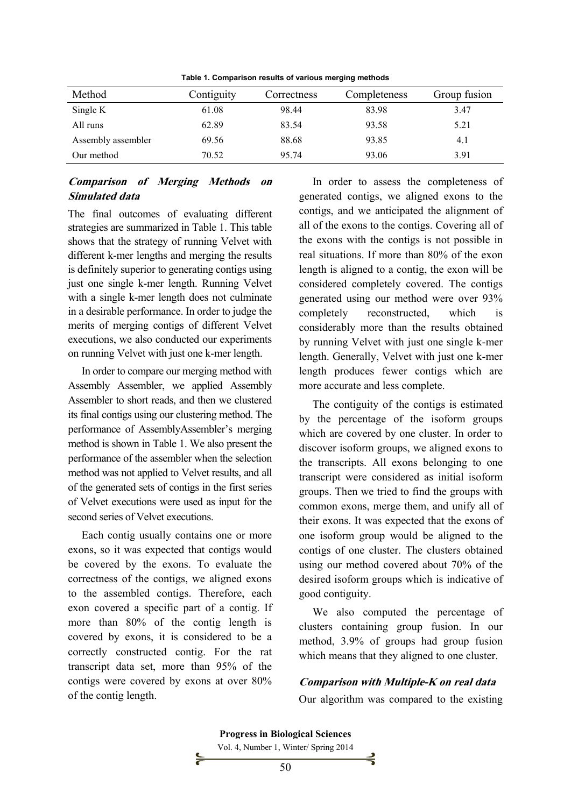| Method             | Contiguity | Correctness | Completeness | Group fusion |
|--------------------|------------|-------------|--------------|--------------|
| Single K           | 61.08      | 98.44       | 83.98        | 3.47         |
| All runs           | 62.89      | 83.54       | 93.58        | 5.21         |
| Assembly assembler | 69.56      | 88.68       | 93.85        | 4.1          |
| Our method         | 70.52      | 95.74       | 93.06        | 3.91         |

**Table 1. Comparison results of various merging methods** 

## **Comparison of Merging Methods on Simulated data**

The final outcomes of evaluating different strategies are summarized in Table 1. This table shows that the strategy of running Velvet with different k-mer lengths and merging the results is definitely superior to generating contigs using just one single k-mer length. Running Velvet with a single k-mer length does not culminate in a desirable performance. In order to judge the merits of merging contigs of different Velvet executions, we also conducted our experiments on running Velvet with just one k-mer length.

In order to compare our merging method with Assembly Assembler, we applied Assembly Assembler to short reads, and then we clustered its final contigs using our clustering method. The performance of AssemblyAssembler's merging method is shown in Table 1. We also present the performance of the assembler when the selection method was not applied to Velvet results, and all of the generated sets of contigs in the first series of Velvet executions were used as input for the second series of Velvet executions.

Each contig usually contains one or more exons, so it was expected that contigs would be covered by the exons. To evaluate the correctness of the contigs, we aligned exons to the assembled contigs. Therefore, each exon covered a specific part of a contig. If more than 80% of the contig length is covered by exons, it is considered to be a correctly constructed contig. For the rat transcript data set, more than 95% of the contigs were covered by exons at over 80% of the contig length.

In order to assess the completeness of generated contigs, we aligned exons to the contigs, and we anticipated the alignment of all of the exons to the contigs. Covering all of the exons with the contigs is not possible in real situations. If more than 80% of the exon length is aligned to a contig, the exon will be considered completely covered. The contigs generated using our method were over 93% completely reconstructed, which is considerably more than the results obtained by running Velvet with just one single k-mer length. Generally, Velvet with just one k-mer length produces fewer contigs which are more accurate and less complete.

The contiguity of the contigs is estimated by the percentage of the isoform groups which are covered by one cluster. In order to discover isoform groups, we aligned exons to the transcripts. All exons belonging to one transcript were considered as initial isoform groups. Then we tried to find the groups with common exons, merge them, and unify all of their exons. It was expected that the exons of one isoform group would be aligned to the contigs of one cluster. The clusters obtained using our method covered about 70% of the desired isoform groups which is indicative of good contiguity.

We also computed the percentage of clusters containing group fusion. In our method, 3.9% of groups had group fusion which means that they aligned to one cluster.

#### **Comparison with Multiple-K on real data**

Our algorithm was compared to the existing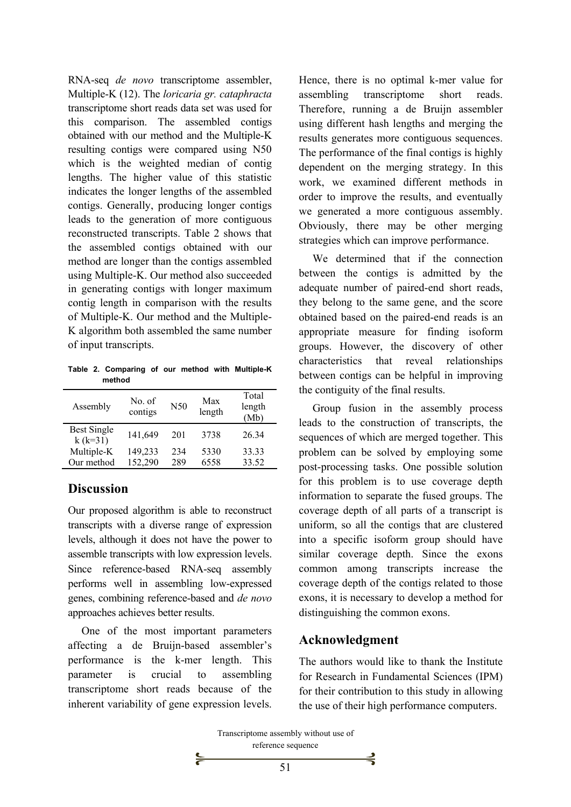RNA-seq *de novo* transcriptome assembler, Multiple-K (12). The *loricaria gr. cataphracta* transcriptome short reads data set was used for this comparison. The assembled contigs obtained with our method and the Multiple-K resulting contigs were compared using N50 which is the weighted median of contig lengths. The higher value of this statistic indicates the longer lengths of the assembled contigs. Generally, producing longer contigs leads to the generation of more contiguous reconstructed transcripts. Table 2 shows that the assembled contigs obtained with our method are longer than the contigs assembled using Multiple-K. Our method also succeeded in generating contigs with longer maximum contig length in comparison with the results of Multiple-K. Our method and the Multiple-K algorithm both assembled the same number of input transcripts.

**Table 2. Comparing of our method with Multiple-K method** 

| Assembly                        | No. of<br>contigs | N50 | Max<br>length | Total<br>length<br>(Mb) |
|---------------------------------|-------------------|-----|---------------|-------------------------|
| <b>Best Single</b><br>$k(k=31)$ | 141,649           | 201 | 3738          | 26 34                   |
| Multiple-K                      | 149,233           | 234 | 5330          | 33.33                   |
| Our method                      | 152,290           | 289 | 6558          | 33.52                   |

# **Discussion**

Our proposed algorithm is able to reconstruct transcripts with a diverse range of expression levels, although it does not have the power to assemble transcripts with low expression levels. Since reference-based RNA-seq assembly performs well in assembling low-expressed genes, combining reference-based and *de novo* approaches achieves better results.

One of the most important parameters affecting a de Bruijn-based assembler's performance is the k-mer length. This parameter is crucial to assembling transcriptome short reads because of the inherent variability of gene expression levels. Hence, there is no optimal k-mer value for assembling transcriptome short reads. Therefore, running a de Bruijn assembler using different hash lengths and merging the results generates more contiguous sequences. The performance of the final contigs is highly dependent on the merging strategy. In this work, we examined different methods in order to improve the results, and eventually we generated a more contiguous assembly. Obviously, there may be other merging strategies which can improve performance.

We determined that if the connection between the contigs is admitted by the adequate number of paired-end short reads, they belong to the same gene, and the score obtained based on the paired-end reads is an appropriate measure for finding isoform groups. However, the discovery of other characteristics that reveal relationships between contigs can be helpful in improving the contiguity of the final results.

Group fusion in the assembly process leads to the construction of transcripts, the sequences of which are merged together. This problem can be solved by employing some post-processing tasks. One possible solution for this problem is to use coverage depth information to separate the fused groups. The coverage depth of all parts of a transcript is uniform, so all the contigs that are clustered into a specific isoform group should have similar coverage depth. Since the exons common among transcripts increase the coverage depth of the contigs related to those exons, it is necessary to develop a method for distinguishing the common exons.

# **Acknowledgment**

The authors would like to thank the Institute for Research in Fundamental Sciences (IPM) for their contribution to this study in allowing the use of their high performance computers.